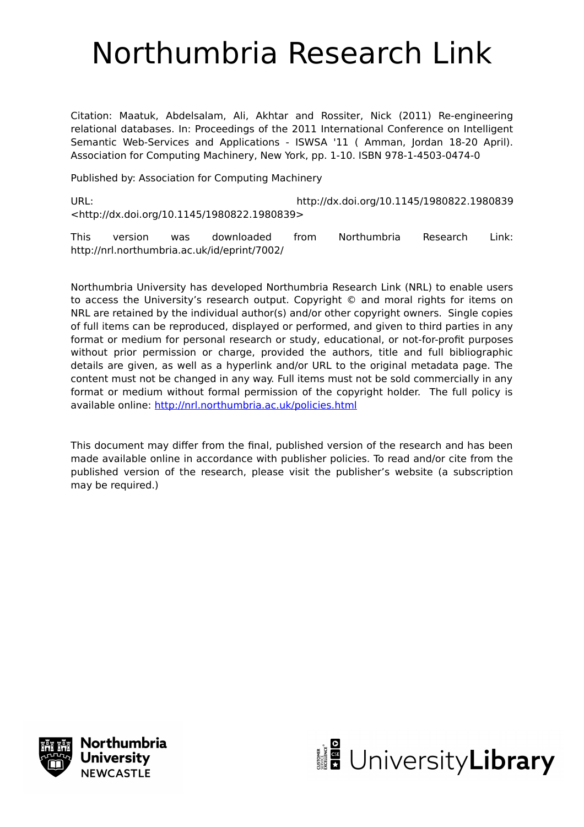# Northumbria Research Link

Citation: Maatuk, Abdelsalam, Ali, Akhtar and Rossiter, Nick (2011) Re-engineering relational databases. In: Proceedings of the 2011 International Conference on Intelligent Semantic Web-Services and Applications - ISWSA '11 ( Amman, Jordan 18-20 April). Association for Computing Machinery, New York, pp. 1-10. ISBN 978-1-4503-0474-0

Published by: Association for Computing Machinery

URL: http://dx.doi.org/10.1145/1980822.1980839 <http://dx.doi.org/10.1145/1980822.1980839>

This version was downloaded from Northumbria Research Link: http://nrl.northumbria.ac.uk/id/eprint/7002/

Northumbria University has developed Northumbria Research Link (NRL) to enable users to access the University's research output. Copyright © and moral rights for items on NRL are retained by the individual author(s) and/or other copyright owners. Single copies of full items can be reproduced, displayed or performed, and given to third parties in any format or medium for personal research or study, educational, or not-for-profit purposes without prior permission or charge, provided the authors, title and full bibliographic details are given, as well as a hyperlink and/or URL to the original metadata page. The content must not be changed in any way. Full items must not be sold commercially in any format or medium without formal permission of the copyright holder. The full policy is available online:<http://nrl.northumbria.ac.uk/policies.html>

This document may differ from the final, published version of the research and has been made available online in accordance with publisher policies. To read and/or cite from the published version of the research, please visit the publisher's website (a subscription may be required.)



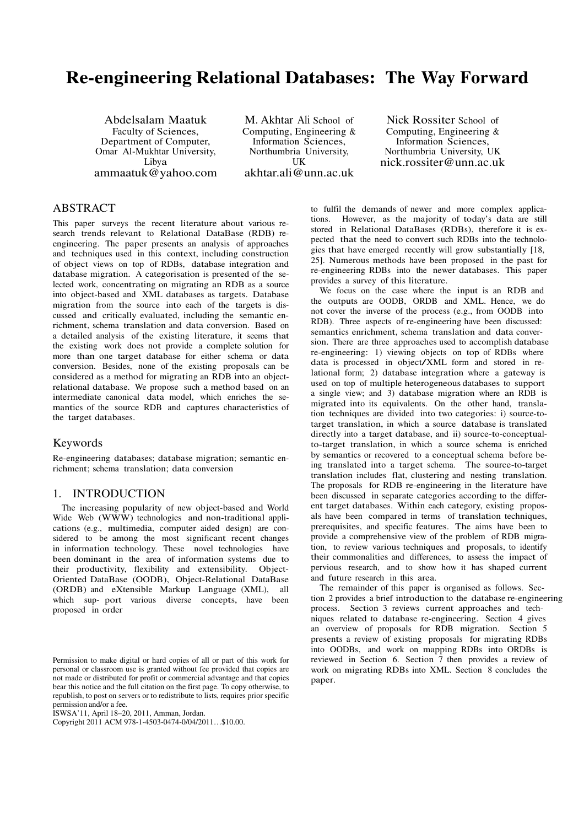## **Re-engineering Relational Databases: The Way Forward**

Abdelsalam Maatuk Faculty of Sciences, Department of Computer, Omar Al-Mukhtar University, Libya ammaatuk@yahoo.com

M. Akhtar Ali School of Computing, Engineering & Information Sciences, Northumbria University, UK akhtar.ali@unn.ac.uk

Nick Rossiter School of Computing, Engineering & Information Sciences, Northumbria University, UK nick.rossiter@unn.ac.uk

## ABSTRACT

This paper surveys the recent literature about various research trends relevant to Relational DataBase (RDB) reengineering. The paper presents an analysis of approaches and techniques used in this context, including construction of object views on top of RDBs, database integration and database migration. A categorisation is presented of the selected work, concentrating on migrating an RDB as a source into object-based and XML databases as targets. Database migration from the source into each of the targets is discussed and critically evaluated, including the semantic enrichment, schema translation and data conversion. Based on a detailed analysis of the existing literature, it seems that the existing work does not provide a complete solution for more than one target database for either schema or data conversion. Besides, none of the existing proposals can be considered as a method for migrating an RDB into an objectrelational database. We propose such a method based on an intermediate canonical data model, which enriches the semantics of the source RDB and captures characteristics of the target databases.

#### Keywords

Re-engineering databases; database migration; semantic enrichment; schema translation; data conversion

## 1. INTRODUCTION

The increasing popularity of new object-based and World Wide Web (WWW) technologies and non-traditional applications (e.g., multimedia, computer aided design) are considered to be among the most significant recent changes in information technology. These novel technologies have been dominant in the area of information systems due to their productivity, flexibility and extensibility. Object-Oriented DataBase (OODB), Object-Relational DataBase (ORDB) and eXtensible Markup Language (XML), all which sup- port various diverse concepts, have been proposed in order

ISWSA'11, April 18–20, 2011, Amman, Jordan.

Copyright 2011 ACM 978-1-4503-0474-0/04/2011…\$10.00.

to fulfil the demands of newer and more complex applications. However, as the majority of today's data are still stored in Relational DataBases (RDBs), therefore it is expected that the need to convert such RDBs into the technologies that have emerged recently will grow substantially [18, 25]. Numerous methods have been proposed in the past for re-engineering RDBs into the newer databases. This paper provides a survey of this literature.

We focus on the case where the input is an RDB and the outputs are OODB, ORDB and XML. Hence, we do not cover the inverse of the process (e.g., from OODB into RDB). Three aspects of re-engineering have been discussed: semantics enrichment, schema translation and data conversion. There are three approaches used to accomplish database re-engineering: 1) viewing objects on top of RDBs where data is processed in object/XML form and stored in relational form; 2) database integration where a gateway is used on top of multiple heterogeneous databases to support a single view; and 3) database migration where an RDB is migrated into its equivalents. On the other hand, translation techniques are divided into two categories: i) source-totarget translation, in which a source database is translated directly into a target database, and ii) source-to-conceptualto-target translation, in which a source schema is enriched by semantics or recovered to a conceptual schema before being translated into a target schema. The source-to-target translation includes flat, clustering and nesting translation. The proposals for RDB re-engineering in the literature have been discussed in separate categories according to the different target databases. Within each category, existing proposals have been compared in terms of translation techniques, prerequisites, and specific features. The aims have been to provide a comprehensive view of the problem of RDB migration, to review various techniques and proposals, to identify their commonalities and differences, to assess the impact of pervious research, and to show how it has shaped current and future research in this area.

The remainder of this paper is organised as follows. Section 2 provides a brief introduction to the database re-engineering process. Section 3 reviews current approaches and techniques related to database re-engineering. Section 4 gives an overview of proposals for RDB migration. Section 5 presents a review of existing proposals for migrating RDBs into OODBs, and work on mapping RDBs into ORDBs is reviewed in Section 6. Section 7 then provides a review of work on migrating RDBs into XML. Section 8 concludes the paper.

Permission to make digital or hard copies of all or part of this work for personal or classroom use is granted without fee provided that copies are not made or distributed for profit or commercial advantage and that copies bear this notice and the full citation on the first page. To copy otherwise, to republish, to post on servers or to redistribute to lists, requires prior specific permission and/or a fee.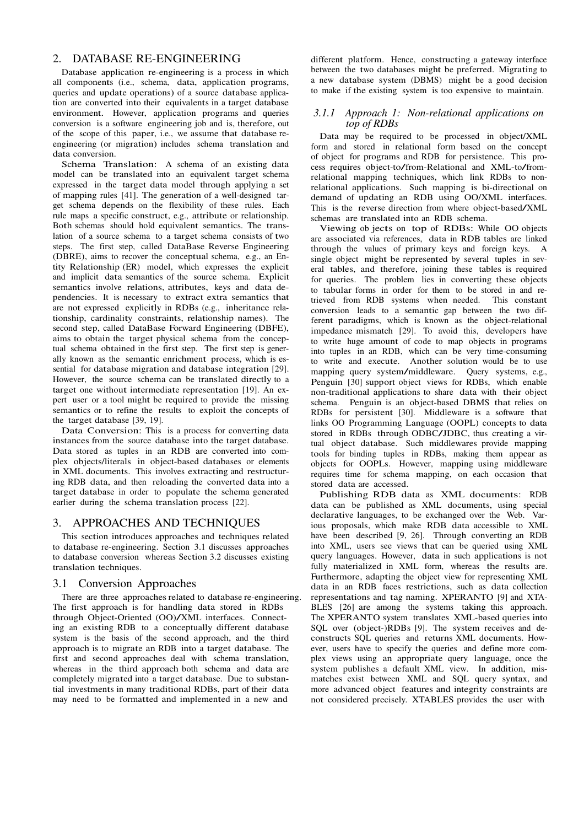## 2. DATABASE RE-ENGINEERING

Database application re-engineering is a process in which all components (i.e., schema, data, application programs, queries and update operations) of a source database application are converted into their equivalents in a target database environment. However, application programs and queries conversion is a software engineering job and is, therefore, out of the scope of this paper, i.e., we assume that database reengineering (or migration) includes schema translation and data conversion.

Schema Translation: A schema of an existing data model can be translated into an equivalent target schema expressed in the target data model through applying a set of mapping rules [41]. The generation of a well-designed target schema depends on the flexibility of these rules. Each rule maps a specific construct, e.g., attribute or relationship. Both schemas should hold equivalent semantics. The translation of a source schema to a target schema consists of two steps. The first step, called DataBase Reverse Engineering (DBRE), aims to recover the conceptual schema, e.g., an Entity Relationship (ER) model, which expresses the explicit and implicit data semantics of the source schema. Explicit semantics involve relations, attributes, keys and data dependencies. It is necessary to extract extra semantics that are not expressed explicitly in RDBs (e.g., inheritance relationship, cardinality constraints, relationship names). The second step, called DataBase Forward Engineering (DBFE), aims to obtain the target physical schema from the conceptual schema obtained in the first step. The first step is generally known as the semantic enrichment process, which is essential for database migration and database integration [29]. However, the source schema can be translated directly to a target one without intermediate representation [19]. An expert user or a tool might be required to provide the missing semantics or to refine the results to exploit the concepts of the target database [39, 19].

Data Conversion: This is a process for converting data instances from the source database into the target database. Data stored as tuples in an RDB are converted into complex objects/literals in object-based databases or elements in XML documents. This involves extracting and restructuring RDB data, and then reloading the converted data into a target database in order to populate the schema generated earlier during the schema translation process [22].

## 3. APPROACHES AND TECHNIQUES

This section introduces approaches and techniques related to database re-engineering. Section 3.1 discusses approaches to database conversion whereas Section 3.2 discusses existing translation techniques.

## 3.1 Conversion Approaches

There are three approaches related to database re-engineering. The first approach is for handling data stored in RDBs through Object-Oriented (OO)/XML interfaces. Connecting an existing RDB to a conceptually different database system is the basis of the second approach, and the third approach is to migrate an RDB into a target database. The first and second approaches deal with schema translation, whereas in the third approach both schema and data are completely migrated into a target database. Due to substantial investments in many traditional RDBs, part of their data may need to be formatted and implemented in a new and

different platform. Hence, constructing a gateway interface between the two databases might be preferred. Migrating to a new database system (DBMS) might be a good decision to make if the existing system is too expensive to maintain.

#### *3.1.1 Approach 1: Non-relational applications on top of RDBs*

Data may be required to be processed in object/XML form and stored in relational form based on the concept of object for programs and RDB for persistence. This process requires object-to/from-Relational and XML-to/fromrelational mapping techniques, which link RDBs to nonrelational applications. Such mapping is bi-directional on demand of updating an RDB using OO/XML interfaces. This is the reverse direction from where object-based/XML schemas are translated into an RDB schema.

Viewing ob jects on top of RDBs: While OO objects are associated via references, data in RDB tables are linked through the values of primary keys and foreign keys. A single object might be represented by several tuples in several tables, and therefore, joining these tables is required for queries. The problem lies in converting these objects to tabular forms in order for them to be stored in and retrieved from RDB systems when needed. This constant conversion leads to a semantic gap between the two different paradigms, which is known as the object-relational impedance mismatch [29]. To avoid this, developers have to write huge amount of code to map objects in programs into tuples in an RDB, which can be very time-consuming to write and execute. Another solution would be to use mapping query system/middleware. Query systems, e.g., Penguin [30] support object views for RDBs, which enable non-traditional applications to share data with their object schema. Penguin is an object-based DBMS that relies on RDBs for persistent [30]. Middleware is a software that links OO Programming Language (OOPL) concepts to data stored in RDBs through ODBC/JDBC, thus creating a virtual object database. Such middlewares provide mapping tools for binding tuples in RDBs, making them appear as objects for OOPLs. However, mapping using middleware requires time for schema mapping, on each occasion that stored data are accessed.

Publishing RDB data as XML documents: RDB data can be published as XML documents, using special declarative languages, to be exchanged over the Web. Various proposals, which make RDB data accessible to XML have been described [9, 26]. Through converting an RDB into XML, users see views that can be queried using XML query languages. However, data in such applications is not fully materialized in XML form, whereas the results are. Furthermore, adapting the object view for representing XML data in an RDB faces restrictions, such as data collection representations and tag naming. XPERANTO [9] and XTA-BLES [26] are among the systems taking this approach. The XPERANTO system translates XML-based queries into SQL over (object-)RDBs [9]. The system receives and deconstructs SQL queries and returns XML documents. However, users have to specify the queries and define more complex views using an appropriate query language, once the system publishes a default XML view. In addition, mismatches exist between XML and SQL query syntax, and more advanced object features and integrity constraints are not considered precisely. XTABLES provides the user with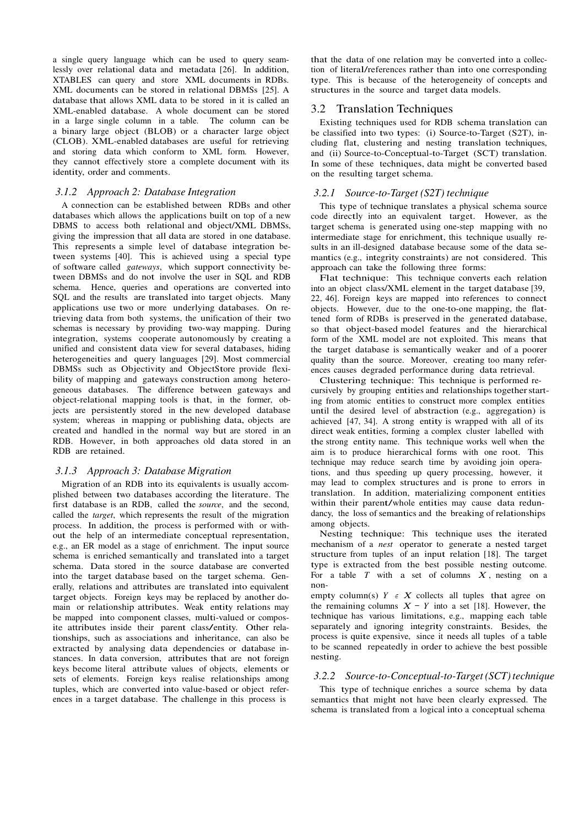a single query language which can be used to query seamlessly over relational data and metadata [26]. In addition, XTABLES can query and store XML documents in RDBs. XML documents can be stored in relational DBMSs [25]. A database that allows XML data to be stored in it is called an XML-enabled database. A whole document can be stored in a large single column in a table. The column can be a binary large object (BLOB) or a character large object (CLOB). XML-enabled databases are useful for retrieving and storing data which conform to XML form. However, they cannot effectively store a complete document with its identity, order and comments.

#### *3.1.2 Approach 2: Database Integration*

A connection can be established between RDBs and other databases which allows the applications built on top of a new DBMS to access both relational and object/XML DBMSs, giving the impression that all data are stored in one database. This represents a simple level of database integration between systems [40]. This is achieved using a special type of software called *gateways*, which support connectivity between DBMSs and do not involve the user in SQL and RDB schema. Hence, queries and operations are converted into SQL and the results are translated into target objects. Many applications use two or more underlying databases. On retrieving data from both systems, the unification of their two schemas is necessary by providing two-way mapping. During integration, systems cooperate autonomously by creating a unified and consistent data view for several databases, hiding heterogeneities and query languages [29]. Most commercial DBMSs such as Objectivity and ObjectStore provide flexibility of mapping and gateways construction among heterogeneous databases. The difference between gateways and object-relational mapping tools is that, in the former, objects are persistently stored in the new developed database system; whereas in mapping or publishing data, objects are created and handled in the normal way but are stored in an RDB. However, in both approaches old data stored in an RDB are retained.

#### *3.1.3 Approach 3: Database Migration*

Migration of an RDB into its equivalents is usually accomplished between two databases according the literature. The first database is an RDB, called the *source*, and the second, called the *target*, which represents the result of the migration process. In addition, the process is performed with or without the help of an intermediate conceptual representation, e.g., an ER model as a stage of enrichment. The input source schema is enriched semantically and translated into a target schema. Data stored in the source database are converted into the target database based on the target schema. Generally, relations and attributes are translated into equivalent target objects. Foreign keys may be replaced by another domain or relationship attributes. Weak entity relations may be mapped into component classes, multi-valued or composite attributes inside their parent class/entity. Other relationships, such as associations and inheritance, can also be extracted by analysing data dependencies or database instances. In data conversion, attributes that are not foreign keys become literal attribute values of objects, elements or sets of elements. Foreign keys realise relationships among tuples, which are converted into value-based or object references in a target database. The challenge in this process is

that the data of one relation may be converted into a collection of literal/references rather than into one corresponding type. This is because of the heterogeneity of concepts and structures in the source and target data models.

## 3.2 Translation Techniques

Existing techniques used for RDB schema translation can be classified into two types: (i) Source-to-Target (S2T), including flat, clustering and nesting translation techniques, and (ii) Source-to-Conceptual-to-Target (SCT) translation. In some of these techniques, data might be converted based on the resulting target schema.

#### *3.2.1 Source-to-Target (S2T) technique*

This type of technique translates a physical schema source code directly into an equivalent target. However, as the target schema is generated using one-step mapping with no intermediate stage for enrichment, this technique usually results in an ill-designed database because some of the data semantics (e.g., integrity constraints) are not considered. This approach can take the following three forms:

Flat technique: This technique converts each relation into an object class/XML element in the target database [39, 22, 46]. Foreign keys are mapped into references to connect objects. However, due to the one-to-one mapping, the flattened form of RDBs is preserved in the generated database, so that object-based model features and the hierarchical form of the XML model are not exploited. This means that the target database is semantically weaker and of a poorer quality than the source. Moreover, creating too many references causes degraded performance during data retrieval.

Clustering technique: This technique is performed recursively by grouping entities and relationships together starting from atomic entities to construct more complex entities until the desired level of abstraction (e.g., aggregation) is achieved [47, 34]. A strong entity is wrapped with all of its direct weak entities, forming a complex cluster labelled with the strong entity name. This technique works well when the aim is to produce hierarchical forms with one root. This technique may reduce search time by avoiding join operations, and thus speeding up query processing, however, it may lead to complex structures and is prone to errors in translation. In addition, materializing component entities within their parent/whole entities may cause data redundancy, the loss of semantics and the breaking of relationships among objects.

Nesting technique: This technique uses the iterated mechanism of a *nest* operator to generate a nested target structure from tuples of an input relation [18]. The target type is extracted from the best possible nesting outcome. For a table *T* with a set of columns *X* , nesting on a non-

empty column(s)  $Y \in X$  collects all tuples that agree on the remaining columns  $X - Y$  into a set [18]. However, the technique has various limitations, e.g., mapping each table separately and ignoring integrity constraints. Besides, the process is quite expensive, since it needs all tuples of a table to be scanned repeatedly in order to achieve the best possible nesting.

#### *3.2.2 Source-to-Conceptual-to-Target (SCT) technique*

This type of technique enriches a source schema by data semantics that might not have been clearly expressed. The schema is translated from a logical into a conceptual schema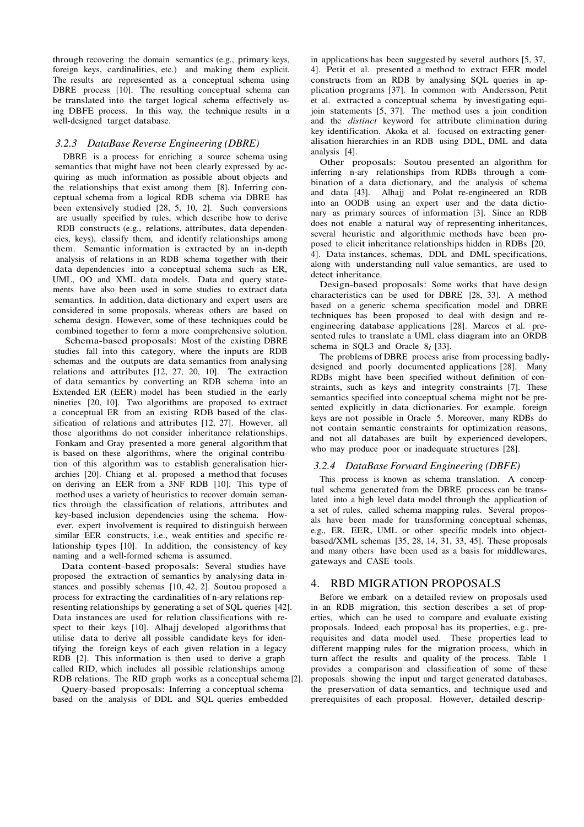through recovering the domain semantics (e.g., primary keys, foreign keys, cardinalities, etc.) and making them explicit. The results are represented as a conceptual schema using DBRE process [10]. The resulting conceptual schema can be translated into the target logical schema effectively using DBFE process. In this way, the technique results in a well-designed target database.

#### *3.2.3 DataBase Reverse Engineering (DBRE)*

DBRE is a process for enriching a source schema using semantics that might have not been clearly expressed by acquiring as much information as possible about objects and the relationships that exist among them [8]. Inferring conceptual schema from a logical RDB schema via DBRE has been extensively studied [28, 5, 10, 2]. Such conversions are usually specified by rules, which describe how to derive RDB constructs (e.g., relations, attributes, data dependencies, keys), classify them, and identify relationships among them. Semantic information is extracted by an in-depth analysis of relations in an RDB schema together with their data dependencies into a conceptual schema such as ER, UML, OO and XML data models. Data and query statements have also been used in some studies to extract data semantics. In addition, data dictionary and expert users are considered in some proposals, whereas others are based on schema design. However, some of these techniques could be combined together to form a more comprehensive solution.

Schema-based proposals: Most of the existing DBRE studies fall into this category, where the inputs are RDB schemas and the outputs are data semantics from analysing relations and attributes [12, 27, 20, 10]. The extraction of data semantics by converting an RDB schema into an Extended ER (EER) model has been studied in the early nineties [20, 10]. Two algorithms are proposed to extract a conceptual ER from an existing RDB based of the classification of relations and attributes [12, 27]. However, all those algorithms do not consider inheritance relationships. Fonkam and Gray presented a more general algorithm that is based on these algorithms, where the original contribution of this algorithm was to establish generalisation hierarchies [20]. Chiang et al. proposed a method that focuses on deriving an EER from a 3NF RDB [10]. This type of method uses a variety of heuristics to recover domain semantics through the classification of relations, attributes and key-based inclusion dependencies using the schema. However, expert involvement is required to distinguish between similar EER constructs, i.e., weak entities and specific relationship types [10]. In addition, the consistency of key naming and a well-formed schema is assumed.

Data content-based proposals: Several studies have proposed the extraction of semantics by analysing data instances and possibly schemas [10, 42, 2]. Soutou proposed a process for extracting the cardinalities of n-ary relations representing relationships by generating a set of SQL queries [42]. Data instances are used for relation classifications with respect to their keys [10]. Alhajj developed algorithms that utilise data to derive all possible candidate keys for identifying the foreign keys of each given relation in a legacy RDB [2]. This information is then used to derive a graph called RID, which includes all possible relationships among RDB relations. The RID graph works as a conceptual schema [2].

Query-based proposals: Inferring a conceptual schema based on the analysis of DDL and SQL queries embedded

in applications has been suggested by several authors [5, 37, 4]. Petit et al. presented a method to extract EER model constructs from an RDB by analysing SQL queries in application programs [37]. In common with Andersson, Petit et al. extracted a conceptual schema by investigating equijoin statements [5, 37]. The method uses a join condition and the *distinct* keyword for attribute elimination during key identification. Akoka et al. focused on extracting generalisation hierarchies in an RDB using DDL, DML and data analysis [4].

Other proposals: Soutou presented an algorithm for inferring n-ary relationships from RDBs through a combination of a data dictionary, and the analysis of schema and data [43]. Alhajj and Polat re-engineered an RDB into an OODB using an expert user and the data dictionary as primary sources of information [3]. Since an RDB does not enable a natural way of representing inheritances, several heuristic and algorithmic methods have been proposed to elicit inheritance relationships hidden in RDBs [20, 4]. Data instances, schemas, DDL and DML specifications, along with understanding null value semantics, are used to detect inheritance.

Design-based proposals: Some works that have design characteristics can be used for DBRE [28, 33]. A method based on a generic schema specification model and DBRE techniques has been proposed to deal with design and reengineering database applications [28]. Marcos et al. presented rules to translate a UML class diagram into an ORDB schema in SQL3 and Oracle 8*i* [33].

The problems of DBRE process arise from processing badlydesigned and poorly documented applications [28]. Many RDBs might have been specified without definition of constraints, such as keys and integrity constraints [7]. These semantics specified into conceptual schema might not be presented explicitly in data dictionaries. For example, foreign keys are not possible in Oracle 5. Moreover, many RDBs do not contain semantic constraints for optimization reasons, and not all databases are built by experienced developers, who may produce poor or inadequate structures [28].

#### *3.2.4 DataBase Forward Engineering (DBFE)*

This process is known as schema translation. A conceptual schema generated from the DBRE process can be translated into a high level data model through the application of a set of rules, called schema mapping rules. Several proposals have been made for transforming conceptual schemas, e.g., ER, EER, UML or other specific models into objectbased/XML schemas [35, 28, 14, 31, 33, 45]. These proposals and many others have been used as a basis for middlewares, gateways and CASE tools.

#### 4. RBD MIGRATION PROPOSALS

Before we embark on a detailed review on proposals used in an RDB migration, this section describes a set of properties, which can be used to compare and evaluate existing proposals. Indeed each proposal has its properties, e.g., prerequisites and data model used. These properties lead to different mapping rules for the migration process, which in turn affect the results and quality of the process. Table 1 provides a comparison and classification of some of these proposals showing the input and target generated databases, the preservation of data semantics, and technique used and prerequisites of each proposal. However, detailed descrip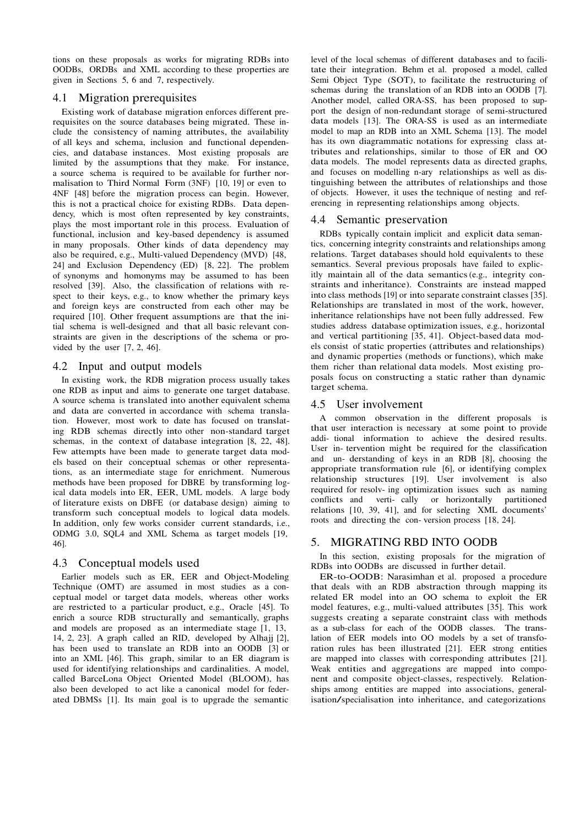tions on these proposals as works for migrating RDBs into OODBs, ORDBs and XML according to these properties are given in Sections 5, 6 and 7, respectively.

## 4.1 Migration prerequisites

Existing work of database migration enforces different prerequisites on the source databases being migrated. These include the consistency of naming attributes, the availability of all keys and schema, inclusion and functional dependencies, and database instances. Most existing proposals are limited by the assumptions that they make. For instance, a source schema is required to be available for further normalisation to Third Normal Form (3NF) [10, 19] or even to 4NF [48] before the migration process can begin. However, this is not a practical choice for existing RDBs. Data dependency, which is most often represented by key constraints, plays the most important role in this process. Evaluation of functional, inclusion and key-based dependency is assumed in many proposals. Other kinds of data dependency may also be required, e.g., Multi-valued Dependency (MVD) [48, 24] and Exclusion Dependency (ED) [8, 22]. The problem of synonyms and homonyms may be assumed to has been resolved [39]. Also, the classification of relations with respect to their keys, e.g., to know whether the primary keys and foreign keys are constructed from each other may be required [10]. Other frequent assumptions are that the initial schema is well-designed and that all basic relevant constraints are given in the descriptions of the schema or provided by the user [7, 2, 46].

## 4.2 Input and output models

In existing work, the RDB migration process usually takes one RDB as input and aims to generate one target database. A source schema is translated into another equivalent schema and data are converted in accordance with schema translation. However, most work to date has focused on translating RDB schemas directly into other non-standard target schemas, in the context of database integration [8, 22, 48]. Few attempts have been made to generate target data models based on their conceptual schemas or other representations, as an intermediate stage for enrichment. Numerous methods have been proposed for DBRE by transforming logical data models into ER, EER, UML models. A large body of literature exists on DBFE (or database design) aiming to transform such conceptual models to logical data models. In addition, only few works consider current standards, i.e., ODMG 3.0, SQL4 and XML Schema as target models [19, 46].

## 4.3 Conceptual models used

Earlier models such as ER. EER and Object-Modeling Technique (OMT) are assumed in most studies as a conceptual model or target data models, whereas other works are restricted to a particular product, e.g., Oracle [45]. To enrich a source RDB structurally and semantically, graphs and models are proposed as an intermediate stage [1, 13, 14, 2, 23]. A graph called an RID, developed by Alhajj [2], has been used to translate an RDB into an OODB [3] or into an XML [46]. This graph, similar to an ER diagram is used for identifying relationships and cardinalities. A model, called BarceLona Object Oriented Model (BLOOM), has also been developed to act like a canonical model for federated DBMSs [1]. Its main goal is to upgrade the semantic

level of the local schemas of different databases and to facilitate their integration. Behm et al. proposed a model, called Semi Object Type (SOT), to facilitate the restructuring of schemas during the translation of an RDB into an OODB [7]. Another model, called ORA-SS, has been proposed to support the design of non-redundant storage of semi-structured data models [13]. The ORA-SS is used as an intermediate model to map an RDB into an XML Schema [13]. The model has its own diagrammatic notations for expressing class attributes and relationships, similar to those of ER and OO data models. The model represents data as directed graphs, and focuses on modelling n-ary relationships as well as distinguishing between the attributes of relationships and those of objects. However, it uses the technique of nesting and referencing in representing relationships among objects.

## 4.4 Semantic preservation

RDBs typically contain implicit and explicit data semantics, concerning integrity constraints and relationships among relations. Target databases should hold equivalents to these semantics. Several previous proposals have failed to explicitly maintain all of the data semantics (e.g., integrity constraints and inheritance). Constraints are instead mapped into class methods [19] or into separate constraint classes [35]. Relationships are translated in most of the work, however, inheritance relationships have not been fully addressed. Few studies address database optimization issues, e.g., horizontal and vertical partitioning [35, 41]. Object-based data models consist of static properties (attributes and relationships) and dynamic properties (methods or functions), which make them richer than relational data models. Most existing proposals focus on constructing a static rather than dynamic target schema.

## 4.5 User involvement

A common observation in the different proposals is that user interaction is necessary at some point to provide addi- tional information to achieve the desired results. User in- tervention might be required for the classification and un- derstanding of keys in an RDB [8], choosing the appropriate transformation rule [6], or identifying complex relationship structures [19]. User involvement is also required for resolv- ing optimization issues such as naming conflicts and verti- cally or horizontally partitioned relations [10, 39, 41], and for selecting XML documents' roots and directing the con- version process [18, 24].

## 5. MIGRATING RBD INTO OODB

In this section, existing proposals for the migration of RDBs into OODBs are discussed in further detail.

ER-to-OODB: Narasimhan et al. proposed a procedure that deals with an RDB abstraction through mapping its related ER model into an OO schema to exploit the ER model features, e.g., multi-valued attributes [35]. This work suggests creating a separate constraint class with methods as a sub-class for each of the OODB classes. The translation of EER models into OO models by a set of transforation rules has been illustrated [21]. EER strong entities are mapped into classes with corresponding attributes [21]. Weak entities and aggregations are mapped into component and composite object-classes, respectively. Relationships among entities are mapped into associations, generalisation/specialisation into inheritance, and categorizations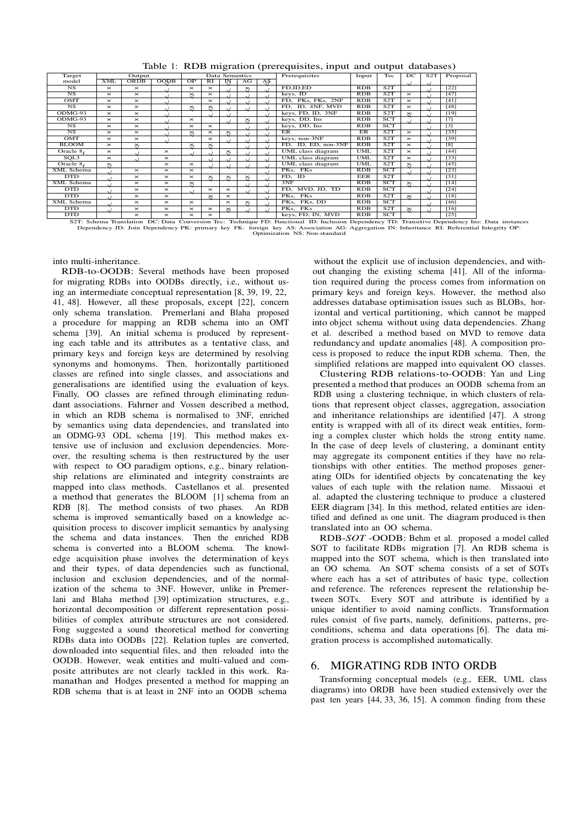| Target       |              | Data Semantics |             |                |                |                | Prerequisites  | Input | Tec                 | DC         | S <sub>2</sub> T | Proposal       |  |                   |
|--------------|--------------|----------------|-------------|----------------|----------------|----------------|----------------|-------|---------------------|------------|------------------|----------------|--|-------------------|
| model        | <b>XML</b>   | <b>ORDB</b>    | <b>OODB</b> | OP             | RI             | ΙN             | AG             | A\$   |                     |            |                  |                |  |                   |
| NS.          | $\times$     | $\times$       |             | $\times$       | $\times$       |                | $\mathsf{x}_i$ |       | FD.ID.ED            | <b>RDB</b> | S2T              |                |  | $[22]$            |
| NS.          | $\times$     | $\times$       |             | $\mathsf{x}_i$ | $\times$       |                |                |       | $keys$ , ID         | <b>RDB</b> | S2T              | $\times$       |  | [47]              |
| OMT          | $\times$     | $\times$       |             |                | $\times$       |                |                |       | FD, PKs, FKs, 2NF   | <b>RDB</b> | S2T              | $\times$       |  | [41]              |
| NS.          | $\times$     | $\times$       |             | $\mathsf{x}_i$ | $\times$       |                |                |       | FD, ID, 4NF, MVD    | <b>RDB</b> | S2T              | $\times$       |  | [48]              |
| $ODMG-93$    | $\times$     | $\times$       |             |                |                |                |                |       | keys, FD, ID, 3NF   | <b>RDB</b> | S2T              | $\mathsf{x}$   |  | [19]              |
| $ODMG-93$    | $\times$     | $\times$       |             | $\times$       |                |                | Χ              |       | keys, DD, Ins       | <b>RDB</b> | <b>SCT</b>       |                |  | [7]               |
| NS.          | $\times$     | $\times$       |             | $\times$       | $\times$       |                |                |       | keys, DD, Ins       | <b>RDB</b> | SCT              |                |  | $\lceil 3 \rceil$ |
| <b>NS</b>    | $\times$     | $\times$       |             | $\mathsf{x}$   | $\times$       | $\mathsf{x}$   |                |       | ER                  | ER         | S2T              | $\times$       |  | [35]              |
| OMT          | $\times$     | $\times$       |             |                | $\times$       |                |                |       | keys, non-3NF       | <b>RDB</b> | S2T              | $\times$       |  | [39]              |
| <b>BLOOM</b> | $\times$     | $\mathsf{x}_1$ |             | $\mathsf{x}_1$ | $\times$       |                |                |       | FD, ID, ED, non-3NF | <b>RDB</b> | S2T              | $\times$       |  | [8]               |
| Oracle $8i$  | $\times$     |                | $\times$    |                |                | $\mathsf{x}_i$ |                |       | UML class diagram   | <b>UML</b> | S2T              | $\times$       |  | [44]              |
| SQL3         | $\times$     |                | $\times$    |                |                |                |                |       | UML class diagram   | <b>UML</b> | S2T              | $\times$       |  | [33]              |
| Oracle $8i$  | $\mathsf{x}$ |                | $\times$    | $\times$       |                |                |                |       | UML class diagram   | <b>UML</b> | S2T              | $\mathsf{x}$   |  | [45]              |
| XML Schema   |              | $\times$       | $\times$    | $\times$       |                |                |                |       | PKs. FKs            | RDB        | SCT              |                |  | [23]              |
| <b>DTD</b>   |              | $\times$       | $\times$    | $\times$       | $\mathsf{x}$   | $\geq$         | $\geq$         |       | FD. ID              | EER        | S2T              |                |  | [31]              |
| XML Schema   |              | $\times$       | $\times$    | $\mathsf{x}_i$ |                |                |                |       | 3NF                 | <b>RDB</b> | SCT              | $\mathsf{x}_i$ |  | $[14]$            |
| <b>DTD</b>   |              | $\times$       | $\times$    |                | $\times$       | $\times$       |                |       | FD, MVD, JD, TD     | <b>RDB</b> | <b>SCT</b>       |                |  | $[24]$            |
| <b>DTD</b>   |              | $\times$       | $\times$    |                | $\mathsf{x}_1$ | $\times$       |                |       | PKs. FKs            | <b>RDB</b> | S2T              | $\mathsf{x}_i$ |  | $[18]$            |
| XML Schema   |              | $\times$       | $\times$    | $\times$       |                | $\times$       | $\mathsf{x}_1$ |       | PKs, FKs, DD        | <b>RDB</b> | SCT              |                |  | [46]              |
| <b>DTD</b>   |              | $\times$       | $\times$    | $\times$       | $\times$       | $\mathsf{x}$   |                |       | PKs. FKs            | <b>RDB</b> | S2T              | $\mathsf{x}_i$ |  | [16]              |
| DTD.         |              | $\times$       | $\times$    | $\times$       | $\times$       |                |                |       | kevs. FD. IN. MVD   | <b>RDB</b> | SCT              |                |  | <b>F251</b>       |

Table 1: RDB migration (prerequisites, input and output databases)

THE MANUS CONSERVED BY THE STREET AND RUBBE STREET AND THE STREET AND THE STREET STREET AND THE STREET SCHEME THE STREET SCHEME THAN THE STREET SCHEME THE STREET SCHEME STREET SCHEME STREET SCHEME STREET SCHEME STREET SCHE

into multi-inheritance.

RDB-to-OODB: Several methods have been proposed for migrating RDBs into OODBs directly, i.e., without using an intermediate conceptual representation [8, 39, 19, 22, 41, 48]. However, all these proposals, except [22], concern only schema translation. Premerlani and Blaha proposed a procedure for mapping an RDB schema into an OMT schema [39]. An initial schema is produced by representing each table and its attributes as a tentative class, and primary keys and foreign keys are determined by resolving synonyms and homonyms. Then, horizontally partitioned classes are refined into single classes, and associations and generalisations are identified using the evaluation of keys. Finally, OO classes are refined through eliminating redundant associations. Fahrner and Vossen described a method, in which an RDB schema is normalised to 3NF, enriched by semantics using data dependencies, and translated into an ODMG-93 ODL schema [19]. This method makes extensive use of inclusion and exclusion dependencies. Moreover, the resulting schema is then restructured by the user with respect to OO paradigm options, e.g., binary relationship relations are eliminated and integrity constraints are mapped into class methods. Castellanos et al. presented a method that generates the BLOOM [1] schema from an RDB [8]. The method consists of two phases. An RDB schema is improved semantically based on a knowledge acquisition process to discover implicit semantics by analysing the schema and data instances. Then the enriched RDB schema is converted into a BLOOM schema. The knowledge acquisition phase involves the determination of keys and their types, of data dependencies such as functional, inclusion and exclusion dependencies, and of the normalization of the schema to 3NF. However, unlike in Premerlani and Blaha method [39] optimization structures, e.g., horizontal decomposition or different representation possibilities of complex attribute structures are not considered. Fong suggested a sound theoretical method for converting RDBs data into OODBs [22]. Relation tuples are converted, downloaded into sequential files, and then reloaded into the OODB. However, weak entities and multi-valued and composite attributes are not clearly tackled in this work. Ramanathan and Hodges presented a method for mapping an RDB schema that is at least in 2NF into an OODB schema

without the explicit use of inclusion dependencies, and without changing the existing schema [41]. All of the information required during the process comes from information on primary keys and foreign keys. However, the method also addresses database optimisation issues such as BLOBs, horizontal and vertical partitioning, which cannot be mapped into object schema without using data dependencies. Zhang et al. described a method based on MVD to remove data redundancy and update anomalies [48]. A composition process is proposed to reduce the input RDB schema. Then, the simplified relations are mapped into equivalent OO classes.

Clustering RDB relations-to-OODB: Yan and Ling presented a method that produces an OODB schema from an RDB using a clustering technique, in which clusters of relations that represent object classes, aggregation, association and inheritance relationships are identified [47]. A strong entity is wrapped with all of its direct weak entities, forming a complex cluster which holds the strong entity name. In the case of deep levels of clustering, a dominant entity may aggregate its component entities if they have no relationships with other entities. The method proposes generating OIDs for identified objects by concatenating the key values of each tuple with the relation name. Missaoui et al. adapted the clustering technique to produce a clustered EER diagram [34]. In this method, related entities are identified and defined as one unit. The diagram produced is then translated into an OO schema.

RDB-*SOT* -OODB: Behm et al. proposed a model called SOT to facilitate RDBs migration [7]. An RDB schema is mapped into the SOT schema, which is then translated into an OO schema. An SOT schema consists of a set of SOTs where each has a set of attributes of basic type, collection and reference. The references represent the relationship between SOTs. Every SOT and attribute is identified by a unique identifier to avoid naming conflicts. Transformation rules consist of five parts, namely, definitions, patterns, preconditions, schema and data operations [6]. The data migration process is accomplished automatically.

## 6. MIGRATING RDB INTO ORDB

Transforming conceptual models (e.g., EER, UML class diagrams) into ORDB have been studied extensively over the past ten years [44, 33, 36, 15]. A common finding from these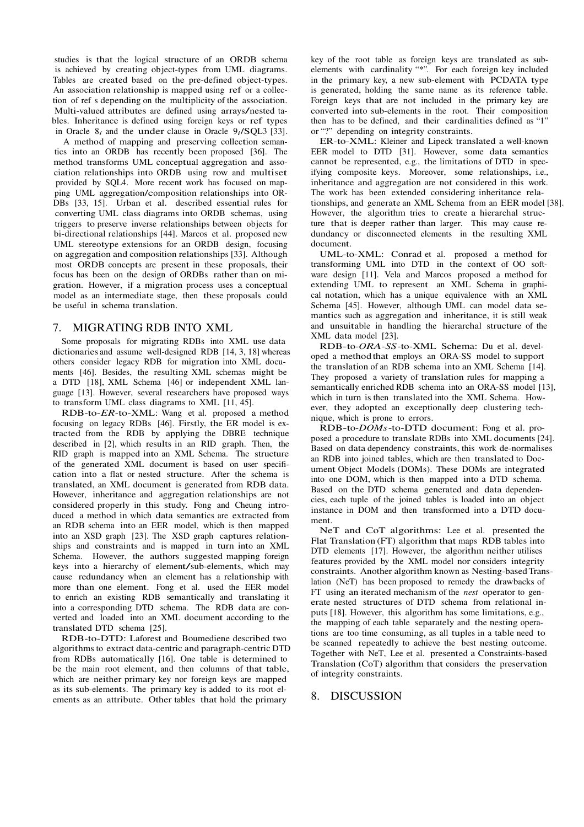studies is that the logical structure of an ORDB schema is achieved by creating object-types from UML diagrams. Tables are created based on the pre-defined object-types. An association relationship is mapped using ref or a collection of ref s depending on the multiplicity of the association. Multi-valued attributes are defined using arrays/nested tables. Inheritance is defined using foreign keys or ref types in Oracle  $8_i$  and the under clause in Oracle  $9_i$ /SQL3 [33].

A method of mapping and preserving collection semantics into an ORDB has recently been proposed [36]. The method transforms UML conceptual aggregation and association relationships into ORDB using row and multiset provided by SQL4. More recent work has focused on mapping UML aggregation/composition relationships into OR-DBs [33, 15]. Urban et al. described essential rules for converting UML class diagrams into ORDB schemas, using triggers to preserve inverse relationships between objects for bi-directional relationships [44]. Marcos et al. proposed new UML stereotype extensions for an ORDB design, focusing on aggregation and composition relationships [33]. Although most ORDB concepts are present in these proposals, their focus has been on the design of ORDBs rather than on migration. However, if a migration process uses a conceptual model as an intermediate stage, then these proposals could be useful in schema translation.

## 7. MIGRATING RDB INTO XML

Some proposals for migrating RDBs into XML use data dictionaries and assume well-designed RDB [14, 3, 18] whereas others consider legacy RDB for migration into XML documents [46]. Besides, the resulting XML schemas might be a DTD [18], XML Schema [46] or independent XML language [13]. However, several researchers have proposed ways to transform UML class diagrams to XML [11, 45].

RDB-to-*ER*-to-XML: Wang et al. proposed a method focusing on legacy RDBs [46]. Firstly, the ER model is extracted from the RDB by applying the DBRE technique described in [2], which results in an RID graph. Then, the RID graph is mapped into an XML Schema. The structure of the generated XML document is based on user specification into a flat or nested structure. After the schema is translated, an XML document is generated from RDB data. However, inheritance and aggregation relationships are not considered properly in this study. Fong and Cheung introduced a method in which data semantics are extracted from an RDB schema into an EER model, which is then mapped into an XSD graph [23]. The XSD graph captures relationships and constraints and is mapped in turn into an XML Schema. However, the authors suggested mapping foreign keys into a hierarchy of element/sub-elements, which may cause redundancy when an element has a relationship with more than one element. Fong et al. used the EER model to enrich an existing RDB semantically and translating it into a corresponding DTD schema. The RDB data are converted and loaded into an XML document according to the translated DTD schema [25].

RDB-to-DTD: Laforest and Boumediene described two algorithms to extract data-centric and paragraph-centric DTD from RDBs automatically [16]. One table is determined to be the main root element, and then columns of that table, which are neither primary key nor foreign keys are mapped as its sub-elements. The primary key is added to its root elements as an attribute. Other tables that hold the primary

key of the root table as foreign keys are translated as subelements with cardinality "\*". For each foreign key included in the primary key, a new sub-element with PCDATA type is generated, holding the same name as its reference table. Foreign keys that are not included in the primary key are converted into sub-elements in the root. Their composition then has to be defined, and their cardinalities defined as "1" or "?" depending on integrity constraints.

ER-to-XML: Kleiner and Lipeck translated a well-known EER model to DTD [31]. However, some data semantics cannot be represented, e.g., the limitations of DTD in specifying composite keys. Moreover, some relationships, i.e., inheritance and aggregation are not considered in this work. The work has been extended considering inheritance relationships, and generate an XML Schema from an EER model [38]. However, the algorithm tries to create a hierarchal structure that is deeper rather than larger. This may cause redundancy or disconnected elements in the resulting XML document.

UML-to-XML: Conrad et al. proposed a method for transforming UML into DTD in the context of OO software design [11]. Vela and Marcos proposed a method for extending UML to represent an XML Schema in graphical notation, which has a unique equivalence with an XML Schema [45]. However, although UML can model data semantics such as aggregation and inheritance, it is still weak and unsuitable in handling the hierarchal structure of the XML data model [23].

RDB-to-*ORA-SS*-to-XML Schema: Du et al. developed a method that employs an ORA-SS model to support the translation of an RDB schema into an XML Schema [14]. They proposed a variety of translation rules for mapping a semantically enriched RDB schema into an ORA-SS model [13], which in turn is then translated into the XML Schema. However, they adopted an exceptionally deep clustering technique, which is prone to errors.

RDB-to-*DOMs*-to-DTD document: Fong et al. proposed a procedure to translate RDBs into XML documents [24]. Based on data dependency constraints, this work de-normalises an RDB into joined tables, which are then translated to Document Object Models (DOMs). These DOMs are integrated into one DOM, which is then mapped into a DTD schema. Based on the DTD schema generated and data dependencies, each tuple of the joined tables is loaded into an object instance in DOM and then transformed into a DTD document.

NeT and CoT algorithms: Lee et al. presented the Flat Translation (FT) algorithm that maps RDB tables into DTD elements [17]. However, the algorithm neither utilises features provided by the XML model nor considers integrity constraints. Another algorithm known as Nesting-based Translation (NeT) has been proposed to remedy the drawbacks of FT using an iterated mechanism of the *nest* operator to generate nested structures of DTD schema from relational inputs [18]. However, this algorithm has some limitations, e.g., the mapping of each table separately and the nesting operations are too time consuming, as all tuples in a table need to be scanned repeatedly to achieve the best nesting outcome. Together with NeT, Lee et al. presented a Constraints-based Translation (CoT) algorithm that considers the preservation of integrity constraints.

## 8. DISCUSSION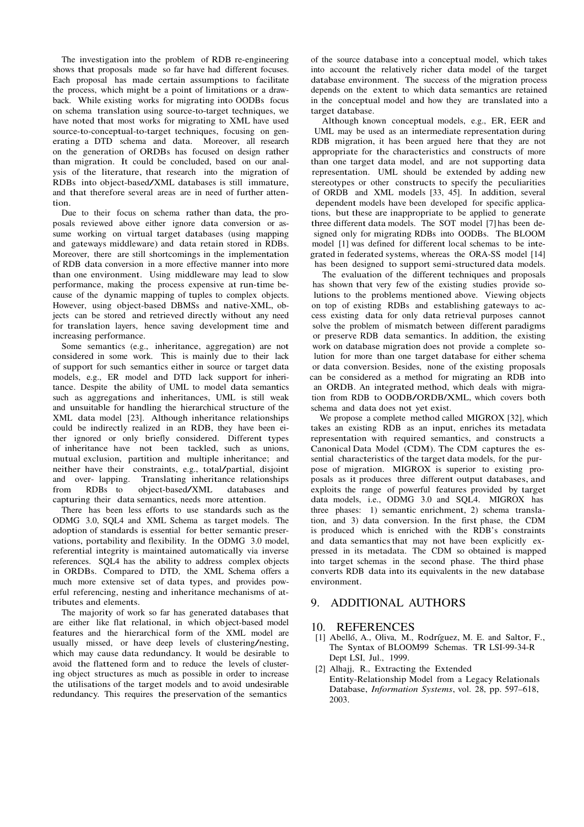The investigation into the problem of RDB re-engineering shows that proposals made so far have had different focuses. Each proposal has made certain assumptions to facilitate the process, which might be a point of limitations or a drawback. While existing works for migrating into OODBs focus on schema translation using source-to-target techniques, we have noted that most works for migrating to XML have used source-to-conceptual-to-target techniques, focusing on generating a DTD schema and data. Moreover, all research on the generation of ORDBs has focused on design rather than migration. It could be concluded, based on our analysis of the literature, that research into the migration of RDBs into object-based/XML databases is still immature, and that therefore several areas are in need of further attention.

Due to their focus on schema rather than data, the proposals reviewed above either ignore data conversion or assume working on virtual target databases (using mapping and gateways middleware) and data retain stored in RDBs. Moreover, there are still shortcomings in the implementation of RDB data conversion in a more effective manner into more than one environment. Using middleware may lead to slow performance, making the process expensive at run-time because of the dynamic mapping of tuples to complex objects. However, using object-based DBMSs and native-XML, objects can be stored and retrieved directly without any need for translation layers, hence saving development time and increasing performance.

Some semantics (e.g., inheritance, aggregation) are not considered in some work. This is mainly due to their lack of support for such semantics either in source or target data models, e.g., ER model and DTD lack support for inheritance. Despite the ability of UML to model data semantics such as aggregations and inheritances, UML is still weak and unsuitable for handling the hierarchical structure of the XML data model [23]. Although inheritance relationships could be indirectly realized in an RDB, they have been either ignored or only briefly considered. Different types of inheritance have not been tackled, such as unions, mutual exclusion, partition and multiple inheritance; and neither have their constraints, e.g., total/partial, disjoint and over-lapping. Translating inheritance relationships Translating inheritance relationships from RDBs to object-based/XML databases and capturing their data semantics, needs more attention.

There has been less efforts to use standards such as the ODMG 3.0, SQL4 and XML Schema as target models. The adoption of standards is essential for better semantic preservations, portability and flexibility. In the ODMG 3.0 model, referential integrity is maintained automatically via inverse references. SQL4 has the ability to address complex objects in ORDBs. Compared to DTD, the XML Schema offers a much more extensive set of data types, and provides powerful referencing, nesting and inheritance mechanisms of attributes and elements.

The majority of work so far has generated databases that are either like flat relational, in which object-based model features and the hierarchical form of the XML model are usually missed, or have deep levels of clustering/nesting, which may cause data redundancy. It would be desirable to avoid the flattened form and to reduce the levels of clustering object structures as much as possible in order to increase the utilisations of the target models and to avoid undesirable redundancy. This requires the preservation of the semantics

of the source database into a conceptual model, which takes into account the relatively richer data model of the target database environment. The success of the migration process depends on the extent to which data semantics are retained in the conceptual model and how they are translated into a target database.

Although known conceptual models, e.g., ER, EER and UML may be used as an intermediate representation during RDB migration, it has been argued here that they are not appropriate for the characteristics and constructs of more than one target data model, and are not supporting data representation. UML should be extended by adding new stereotypes or other constructs to specify the peculiarities of ORDB and XML models [33, 45]. In addition, several dependent models have been developed for specific applications, but these are inappropriate to be applied to generate three different data models. The SOT model [7] has been designed only for migrating RDBs into OODBs. The BLOOM model [1] was defined for different local schemas to be integrated in federated systems, whereas the ORA-SS model [14] has been designed to support semi-structured data models.

The evaluation of the different techniques and proposals has shown that very few of the existing studies provide solutions to the problems mentioned above. Viewing objects on top of existing RDBs and establishing gateways to access existing data for only data retrieval purposes cannot solve the problem of mismatch between different paradigms or preserve RDB data semantics. In addition, the existing work on database migration does not provide a complete solution for more than one target database for either schema or data conversion. Besides, none of the existing proposals can be considered as a method for migrating an RDB into an ORDB. An integrated method, which deals with migration from RDB to OODB/ORDB/XML, which covers both schema and data does not yet exist.

We propose a complete method called MIGROX [32], which takes an existing RDB as an input, enriches its metadata representation with required semantics, and constructs a Canonical Data Model (CDM). The CDM captures the essential characteristics of the target data models, for the purpose of migration. MIGROX is superior to existing proposals as it produces three different output databases, and exploits the range of powerful features provided by target data models, i.e., ODMG 3.0 and SQL4. MIGROX has three phases: 1) semantic enrichment, 2) schema translation, and 3) data conversion. In the first phase, the CDM is produced which is enriched with the RDB's constraints and data semantics that may not have been explicitly expressed in its metadata. The CDM so obtained is mapped into target schemas in the second phase. The third phase converts RDB data into its equivalents in the new database environment.

## 9. ADDITIONAL AUTHORS

#### 10. REFERENCES

- [1] Abelló, A., Oliva, M., Rodríguez, M. E. and Saltor, F., The Syntax of BLOOM99 Schemas. TR LSI-99-34-R Dept LSI, Jul., 1999.
- [2] Alhajj, R., Extracting the Extended Entity-Relationship Model from a Legacy Relationals Database, *Information Systems*, vol. 28, pp. 597–618, 2003.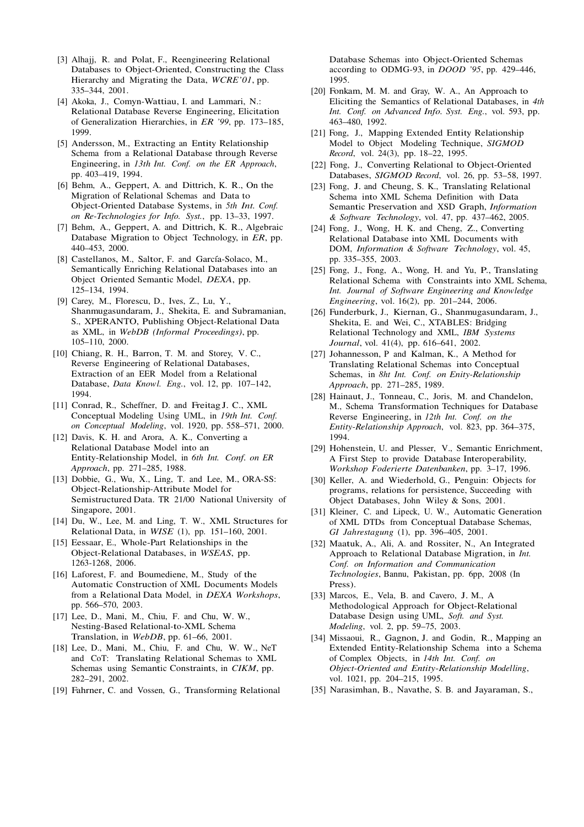- [3] Alhajj, R. and Polat, F., Reengineering Relational Databases to Object-Oriented, Constructing the Class Hierarchy and Migrating the Data, *WCRE'01*, pp. 335–344, 2001.
- [4] Akoka, J., Comyn-Wattiau, I. and Lammari, N.: Relational Database Reverse Engineering, Elicitation of Generalization Hierarchies, in *ER '99*, pp. 173–185, 1999.
- [5] Andersson, M., Extracting an Entity Relationship Schema from a Relational Database through Reverse Engineering, in *13th Int. Conf. on the ER Approach*, pp. 403–419, 1994.
- [6] Behm, A., Geppert, A. and Dittrich, K. R., On the Migration of Relational Schemas and Data to Object-Oriented Database Systems, in *5th Int. Conf. on Re-Technologies for Info. Syst.*, pp. 13–33, 1997.
- [7] Behm, A., Geppert, A. and Dittrich, K. R., Algebraic Database Migration to Object Technology, in *ER*, pp. 440–453, 2000.
- [8] Castellanos, M., Saltor, F. and García-Solaco, M., Semantically Enriching Relational Databases into an Object Oriented Semantic Model, *DEXA*, pp. 125–134, 1994.
- [9] Carey, M., Florescu, D., Ives, Z., Lu, Y., Shanmugasundaram, J., Shekita, E. and Subramanian, S., XPERANTO, Publishing Object-Relational Data as XML, in *WebDB (Informal Proceedings)*, pp. 105–110, 2000.
- [10] Chiang, R. H., Barron, T. M. and Storey, V. C., Reverse Engineering of Relational Databases, Extraction of an EER Model from a Relational Database, *Data Knowl. Eng.*, vol. 12, pp. 107–142, 1994.
- [11] Conrad, R., Scheffner, D. and Freitag J. C., XML Conceptual Modeling Using UML, in *19th Int. Conf. on Conceptual Modeling*, vol. 1920, pp. 558–571, 2000.
- [12] Davis, K. H. and Arora, A. K., Converting a Relational Database Model into an Entity-Relationship Model, in *6th Int. Conf. on ER Approach*, pp. 271–285, 1988.
- [13] Dobbie, G., Wu, X., Ling, T. and Lee, M., ORA-SS: Object-Relationship-Attribute Model for Semistructured Data. TR 21/00 National University of Singapore, 2001.
- [14] Du, W., Lee, M. and Ling, T. W., XML Structures for Relational Data, in *WISE* (1), pp. 151–160, 2001.
- [15] Eessaar, E., Whole-Part Relationships in the Object-Relational Databases, in *WSEAS*, pp. 1263-1268, 2006.
- [16] Laforest, F. and Boumediene, M., Study of the Automatic Construction of XML Documents Models from a Relational Data Model, in *DEXA Workshops*, pp. 566–570, 2003.
- [17] Lee, D., Mani, M., Chiu, F. and Chu, W. W., Nesting-Based Relational-to-XML Schema Translation, in *WebDB*, pp. 61–66, 2001.
- [18] Lee, D., Mani, M., Chiu, F. and Chu, W. W., NeT and CoT: Translating Relational Schemas to XML Schemas using Semantic Constraints, in *CIKM*, pp. 282–291, 2002.
- [19] Fahrner, C. and Vossen, G., Transforming Relational

Database Schemas into Object-Oriented Schemas according to ODMG-93, in *DOOD '95*, pp. 429–446, 1995.

- [20] Fonkam, M. M. and Gray, W. A., An Approach to Eliciting the Semantics of Relational Databases, in *4th Int. Conf. on Advanced Info. Syst. Eng.*, vol. 593, pp. 463–480, 1992.
- [21] Fong, J., Mapping Extended Entity Relationship Model to Object Modeling Technique, *SIGMOD Record*, vol. 24(3), pp. 18–22, 1995.
- [22] Fong, J., Converting Relational to Object-Oriented Databases, *SIGMOD Record*, vol. 26, pp. 53–58, 1997.
- [23] Fong, J. and Cheung, S. K., Translating Relational Schema into XML Schema Definition with Data Semantic Preservation and XSD Graph, *Information & Software Technology*, vol. 47, pp. 437–462, 2005.
- [24] Fong, J., Wong, H. K. and Cheng, Z., Converting Relational Database into XML Documents with DOM, *Information & Software Technology*, vol. 45, pp. 335–355, 2003.
- [25] Fong, J., Fong, A., Wong, H. and Yu, P., Translating Relational Schema with Constraints into XML Schema, *Int. Journal of Software Engineering and Knowledge Engineering*, vol. 16(2), pp. 201–244, 2006.
- [26] Funderburk, J., Kiernan, G., Shanmugasundaram, J., Shekita, E. and Wei, C., XTABLES: Bridging Relational Technology and XML, *IBM Systems Journal*, vol. 41(4), pp. 616–641, 2002.
- [27] Johannesson, P and Kalman, K., A Method for Translating Relational Schemas into Conceptual Schemas, in *8ht Int. Conf. on Enity-Relationship Approach*, pp. 271–285, 1989.
- [28] Hainaut, J., Tonneau, C., Joris, M. and Chandelon, M., Schema Transformation Techniques for Database Reverse Engineering, in *12th Int. Conf. on the Entity-Relationship Approach*, vol. 823, pp. 364–375, 1994.
- [29] Hohenstein, U. and Plesser, V., Semantic Enrichment, A First Step to provide Database Interoperability, *Workshop Foderierte Datenbanken*, pp. 3–17, 1996.
- [30] Keller, A. and Wiederhold, G., Penguin: Objects for programs, relations for persistence, Succeeding with Object Databases, John Wiley & Sons, 2001.
- [31] Kleiner, C. and Lipeck, U. W., Automatic Generation of XML DTDs from Conceptual Database Schemas, *GI Jahrestagung* (1), pp. 396–405, 2001.
- [32] Maatuk, A., Ali, A. and Rossiter, N., An Integrated Approach to Relational Database Migration, in *Int. Conf. on Information and Communication Technologies*, Bannu, Pakistan, pp. 6pp, 2008 (In Press).
- [33] Marcos, E., Vela, B. and Cavero, J. M., A Methodological Approach for Object-Relational Database Design using UML, *Soft. and Syst. Modeling*, vol. 2, pp. 59–75, 2003.
- [34] Missaoui, R., Gagnon, J. and Godin, R., Mapping an Extended Entity-Relationship Schema into a Schema of Complex Objects, in *14th Int. Conf. on Object-Oriented and Entity-Relationship Modelling*, vol. 1021, pp. 204–215, 1995.
- [35] Narasimhan, B., Navathe, S. B. and Jayaraman, S.,